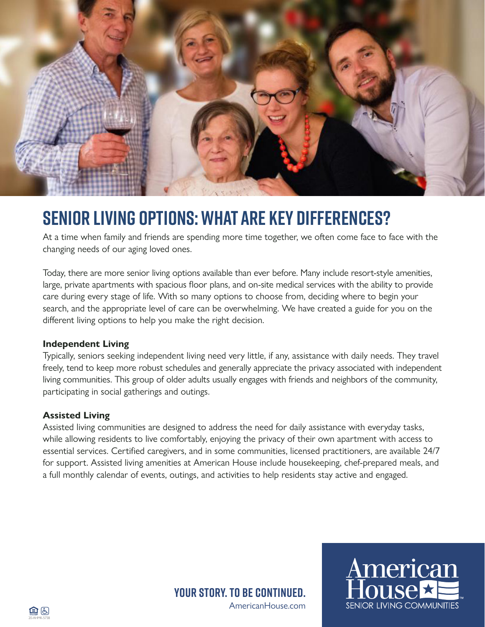

# **SENIOR LIVING OPTIONS: WHAT ARE KEY DIFFERENCES?**

At a time when family and friends are spending more time together, we often come face to face with the changing needs of our aging loved ones.

Today, there are more senior living options available than ever before. Many include resort-style amenities, large, private apartments with spacious floor plans, and on-site medical services with the ability to provide care during every stage of life. With so many options to choose from, deciding where to begin your search, and the appropriate level of care can be overwhelming. We have created a guide for you on the different living options to help you make the right decision.

#### **Independent Living**

Typically, seniors seeking independent living need very little, if any, assistance with daily needs. They travel freely, tend to keep more robust schedules and generally appreciate the privacy associated with independent living communities. This group of older adults usually engages with friends and neighbors of the community, participating in social gatherings and outings.

### **Assisted Living**

Assisted living communities are designed to address the need for daily assistance with everyday tasks, while allowing residents to live comfortably, enjoying the privacy of their own apartment with access to essential services. Certified caregivers, and in some communities, licensed practitioners, are available 24/7 for support. Assisted living amenities at American House include housekeeping, chef-prepared meals, and a full monthly calendar of events, outings, and activities to help residents stay active and engaged.

> AmericanHouse.com **Your story. To be continued.**

American

**SENIOR LIVING COMMUNITIES**